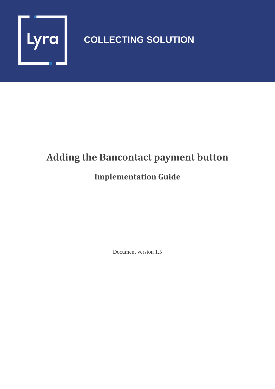

## **COLLECTING SOLUTION**

## **Adding the Bancontact payment button**

## **Implementation Guide**

Document version 1.5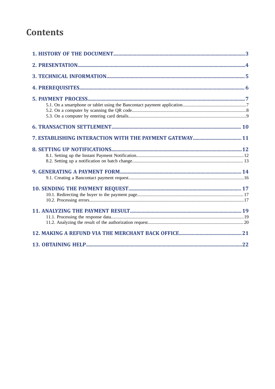## **Contents**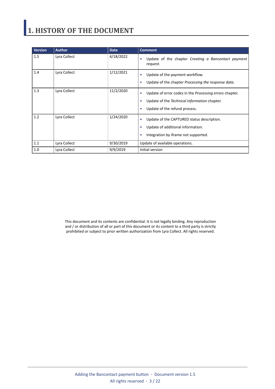# <span id="page-2-0"></span>**1. HISTORY OF THE DOCUMENT**

| <b>Version</b> | <b>Author</b> | <b>Date</b> | <b>Comment</b>                                                                                                                                                                 |
|----------------|---------------|-------------|--------------------------------------------------------------------------------------------------------------------------------------------------------------------------------|
| 1.5            | Lyra Collect  | 4/18/2022   | Update of the chapter Creating a Bancontact payment<br>٠<br>request.                                                                                                           |
| 1.4            | Lyra Collect  | 1/12/2021   | Update of the payment workflow.<br>٠<br>Update of the chapter Processing the response data.<br>٠                                                                               |
| 1.3            | Lyra Collect  | 11/2/2020   | Update of error codes in the <i>Processing errors</i> chapter.<br>$\bullet$<br>Update of the Technical information chapter.<br>٠<br>Update of the refund process.<br>$\bullet$ |
| 1.2            | Lyra Collect  | 1/24/2020   | Update of the CAPTURED status description.<br>٠<br>Update of additional information.<br>٠<br>Integration by iframe not supported.<br>٠                                         |
| 1.1            | Lyra Collect  | 9/30/2019   | Update of available operations.                                                                                                                                                |
| 1.0            | Lyra Collect  | 9/9/2019    | Initial version                                                                                                                                                                |

This document and its contents are confidential. It is not legally binding. Any reproduction and / or distribution of all or part of this document or its content to a third party is strictly prohibited or subject to prior written authorization from Lyra Collect. All rights reserved.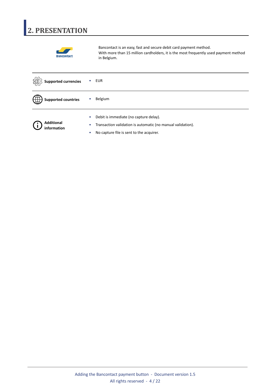# <span id="page-3-0"></span>**2. PRESENTATION**



Bancontact is an easy, fast and secure debit card payment method. With more than 15 million cardholders, it is the most frequently used payment method in Belgium.

| <b>Supported currencies</b> | EUR                                                                                                                                                                         |
|-----------------------------|-----------------------------------------------------------------------------------------------------------------------------------------------------------------------------|
| <b>Supported countries</b>  | Belgium                                                                                                                                                                     |
| Additional<br>information   | Debit is immediate (no capture delay).<br>$\bullet$<br>Transaction validation is automatic (no manual validation).<br>$\bullet$<br>No capture file is sent to the acquirer. |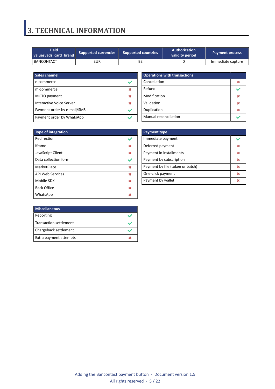## <span id="page-4-0"></span>**3. TECHNICAL INFORMATION**

| <b>Field</b><br>Supported currencies<br>valuesvads card brand |     | <b>Supported countries</b> | Authorization<br>validity period | <b>Payment process</b> |
|---------------------------------------------------------------|-----|----------------------------|----------------------------------|------------------------|
| BANCONTACT                                                    | EUR | BЕ                         |                                  | Immediate capture      |

| Sales channel               |  |
|-----------------------------|--|
| e-commerce                  |  |
| m-commerce                  |  |
| MOTO payment                |  |
| Interactive Voice Server    |  |
| Payment order by e-mail/SMS |  |
| Payment order by WhatsApp   |  |

| <b>Operations with transactions</b> |  |
|-------------------------------------|--|
| Cancellation                        |  |
| Refund                              |  |
| Modification                        |  |
| Validation                          |  |
| Duplication                         |  |
| Manual reconciliation               |  |

| <b>Type of integration</b> |   |
|----------------------------|---|
| Redirection                |   |
| <b>Iframe</b>              | M |
| JavaScript Client          | × |
| Data collection form       |   |
| MarketPlace                | × |
| <b>API Web Services</b>    | × |
| Mobile SDK                 | 发 |
| <b>Back Office</b>         | × |
| WhatsApp                   |   |

| <b>Payment type</b>              |   |
|----------------------------------|---|
| Immediate payment                |   |
| Deferred payment                 | ж |
| Payment in installments          | ж |
| Payment by subscription          | ж |
| Payment by file (token or batch) | ж |
| One-click payment                | ж |
| Payment by wallet                |   |

| <b>Miscellaneous</b>          |  |
|-------------------------------|--|
| Reporting                     |  |
| <b>Transaction settlement</b> |  |
| Chargeback settlement         |  |
| Extra payment attempts        |  |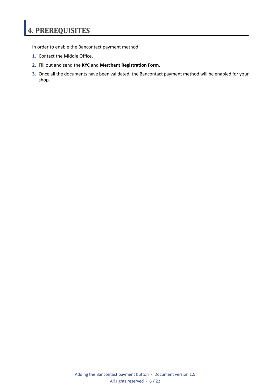# <span id="page-5-0"></span>**4. PREREQUISITES**

In order to enable the Bancontact payment method:

- **1.** Contact the Middle Office.
- **2.** Fill out and send the **KYC** and **Merchant Registration Form**.
- **3.** Once all the documents have been validated, the Bancontact payment method will be enabled for your shop.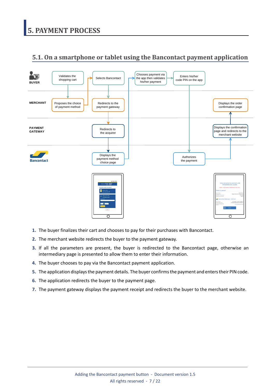## <span id="page-6-1"></span><span id="page-6-0"></span>**5.1. On a smartphone or tablet using the Bancontact payment application**



- **1.** The buyer finalizes their cart and chooses to pay for their purchases with Bancontact.
- **2.** The merchant website redirects the buyer to the payment gateway.
- **3.** If all the parameters are present, the buyer is redirected to the Bancontact page, otherwise an intermediary page is presented to allow them to enter their information.
- **4.** The buyer chooses to pay via the Bancontact payment application.
- **5.** The application displaysthe payment details. The buyer confirmsthe payment and enterstheir PINcode.
- **6.** The application redirects the buyer to the payment page.
- **7.** The payment gateway displays the payment receipt and redirects the buyer to the merchant website.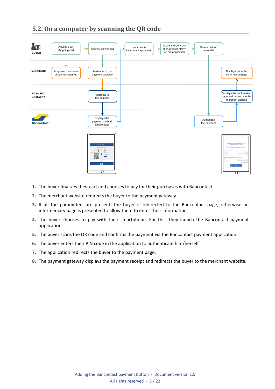## <span id="page-7-0"></span>**5.2. On a computer by scanning the QR code**



- **1.** The buyer finalizes their cart and chooses to pay for their purchases with Bancontact.
- **2.** The merchant website redirects the buyer to the payment gateway.
- **3.** If all the parameters are present, the buyer is redirected to the Bancontact page, otherwise an intermediary page is presented to allow them to enter their information.
- **4.** The buyer chooses to pay with their smartphone. For this, they launch the Bancontact payment application.
- **5.** The buyer scans the QR code and confirms the payment via the Bancontact payment application.
- **6.** The buyer enters their PIN code in the application to authenticate him/herself.
- **7.** The application redirects the buyer to the payment page.
- **8.** The payment gateway displays the payment receipt and redirects the buyer to the merchant website.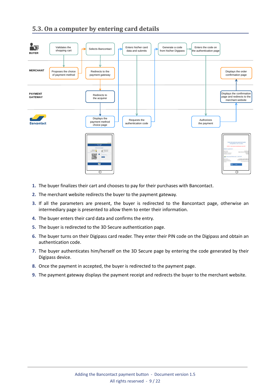## <span id="page-8-0"></span>**5.3. On a computer by entering card details**



- **1.** The buyer finalizes their cart and chooses to pay for their purchases with Bancontact.
- **2.** The merchant website redirects the buyer to the payment gateway.
- **3.** If all the parameters are present, the buyer is redirected to the Bancontact page, otherwise an intermediary page is presented to allow them to enter their information.
- **4.** The buyer enters their card data and confirms the entry.
- **5.** The buyer is redirected to the 3D Secure authentication page.
- **6.** The buyer turns on their Digipass card reader. They enter their PIN code on the Digipass and obtain an authentication code.
- **7.** The buyer authenticates him/herself on the 3D Secure page by entering the code generated by their Digipass device.
- **8.** Once the payment in accepted, the buyer is redirected to the payment page.
- **9.** The payment gateway displays the payment receipt and redirects the buyer to the merchant website.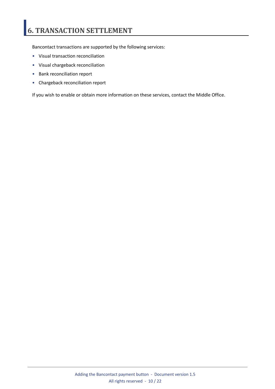# <span id="page-9-0"></span>**6. TRANSACTION SETTLEMENT**

Bancontact transactions are supported by the following services:

- Visual transaction reconciliation
- Visual chargeback reconciliation
- Bank reconciliation report
- Chargeback reconciliation report

If you wish to enable or obtain more information on these services, contact the Middle Office.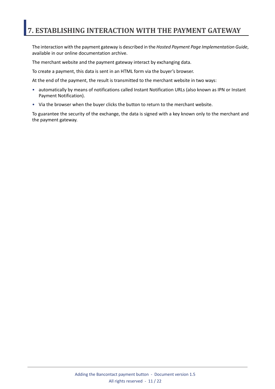## <span id="page-10-0"></span>**7. ESTABLISHING INTERACTION WITH THE PAYMENT GATEWAY**

The interaction with the payment gateway is described in the *Hosted Payment Page Implementation Guide*, available in our online documentation archive.

The merchant website and the payment gateway interact by exchanging data.

To create a payment, this data is sent in an HTML form via the buyer's browser.

At the end of the payment, the result is transmitted to the merchant website in two ways:

- automatically by means of notifications called Instant Notification URLs (also known as IPN or Instant Payment Notification).
- Via the browser when the buyer clicks the button to return to the merchant website.

To guarantee the security of the exchange, the data is signed with a key known only to the merchant and the payment gateway.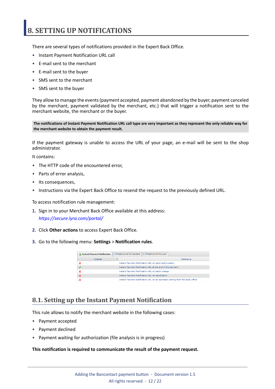## <span id="page-11-0"></span>**8. SETTING UP NOTIFICATIONS**

There are several types of notifications provided in the Expert Back Office.

- Instant Payment Notification URL call
- E-mail sent to the merchant
- E-mail sent to the buyer
- SMS sent to the merchant
- SMS sent to the buyer

They allow to manage the events(payment accepted, payment abandoned by the buyer, payment canceled by the merchant, payment validated by the merchant, etc.) that will trigger a notification sent to the merchant website, the merchant or the buyer.

The notifications of Instant Payment Notification URL call type are very important as they represent the only reliable way for **the merchant website to obtain the payment result.**

If the payment gateway is unable to access the URL of your page, an e-mail will be sent to the shop administrator.

It contains:

- The HTTP code of the encountered error,
- Parts of error analysis,
- Its consequences,
- Instructions via the Expert Back Office to resend the request to the previously defined URL.

To access notification rule management:

- **1.** Sign in to your Merchant Back Office available at this address: *<https://secure.lyra.com/portal/>*
- **2.** Click **Other actions** to access Expert Back Office.
- **3.** Go to the following menu: **Settings** > **Notification rules**.

| <b>Instant Payment Notification</b> | $\boxed{\smash{\sim}}$ E-mail sent to the merchant<br>$\boxed{\smash{\bowtie}}$ E-mail sent to the buyer |
|-------------------------------------|----------------------------------------------------------------------------------------------------------|
| Enabled                             | Reference                                                                                                |
|                                     | Instant Payment Notification URL on batch authorization                                                  |
|                                     | Instant Payment Notification URL at the end of the payment                                               |
|                                     | Instant Payment Notification URL on batch change                                                         |
|                                     | <b>Instant Payment Notification URL on cancellation</b>                                                  |
|                                     | Instant Payment Notification URL on an operation coming from the Back Office                             |

### <span id="page-11-1"></span>**8.1. Setting up the Instant Payment Notification**

This rule allows to notify the merchant website in the following cases:

- Payment accepted
- Payment declined
- Payment waiting for authorization (file analysis is in progress)

#### **This notification is required to communicate the result of the payment request.**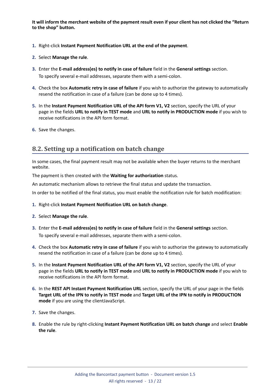It will inform the merchant website of the payment result even if your client has not clicked the "Return **to the shop" button.**

- **1.** Right-click **Instant Payment Notification URL at the end of the payment**.
- **2.** Select **Manage the rule**.
- **3.** Enter the **E-mail address(es) to notify in case of failure** field in the **General settings** section. To specify several e-mail addresses, separate them with a semi-colon.
- **4.** Check the box **Automatic retry in case of failure** if you wish to authorize the gateway to automatically resend the notification in case of a failure (can be done up to 4 times).
- **5.** In the **Instant Payment Notification URL of the API form V1, V2** section, specify the URL of your page in the fields **URL to notify in TEST mode** and **URL to notify in PRODUCTION mode** if you wish to receive notifications in the API form format.
- **6.** Save the changes.

### <span id="page-12-0"></span>**8.2. Setting up a notification on batch change**

In some cases, the final payment result may not be available when the buyer returns to the merchant website.

The payment is then created with the **Waiting for authorization** status.

An automatic mechanism allows to retrieve the final status and update the transaction.

In order to be notified of the final status, you must enable the notification rule for batch modification:

- **1.** Right-click **Instant Payment Notification URL on batch change**.
- **2.** Select **Manage the rule**.
- **3.** Enter the **E-mail address(es) to notify in case of failure** field in the **General settings** section. To specify several e-mail addresses, separate them with a semi-colon.
- **4.** Check the box **Automatic retry in case of failure** if you wish to authorize the gateway to automatically resend the notification in case of a failure (can be done up to 4 times).
- **5.** In the **Instant Payment Notification URL of the API form V1, V2** section, specify the URL of your page in the fields **URL to notify in TEST mode** and **URL to notify in PRODUCTION mode** if you wish to receive notifications in the API form format.
- **6.** In the **REST API Instant Payment Notification URL** section, specify the URL of your page in the fields Target URL of the IPN to notify in TEST mode and Target URL of the IPN to notify in PRODUCTION **mode** if you are using the clientJavaScript.
- **7.** Save the changes.
- **8.** Enable the rule by right-clicking **Instant Payment Notification URL on batch change** and select **Enable the rule**.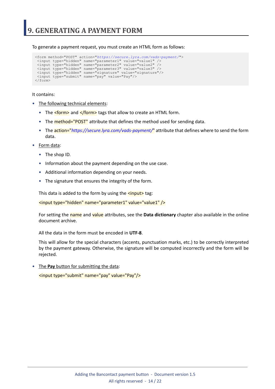<span id="page-13-0"></span>To generate a payment request, you must create an HTML form as follows:

```
<form method="POST" action="https://secure.lyra.com/vads-payment/">
 <input type="hidden" name="parameter1" value="value1" />
 <input type="hidden" name="parameter2" value="value2" />
 <input type="hidden" name="parameter3" value="value3" />
 <input type="hidden" name="signature" value="signature"/>
 <input type="submit" name="pay" value="Pay"/>
\langle/form\rangle
```
It contains:

- The following technical elements:
	- The  $\leq$  form> and  $\leq$ /form> tags that allow to create an HTML form.
	- The **method="POST"** attribute that defines the method used for sending data.
	- The action="*<https://secure.lyra.com/vads-payment/>*" attribute that defines where to send the form data.
- Form data:
	- The shop ID.
	- Information about the payment depending on the use case.
	- Additional information depending on your needs.
	- The signature that ensures the integrity of the form.

This data is added to the form by using the  $\frac{$  <input> tag:

<input type="hidden" name="parameter1" value="value1" />

For setting the name and value attributes, see the **Data dictionary** chapter also available in the online document archive.

All the data in the form must be encoded in **UTF-8**.

This will allow for the special characters (accents, punctuation marks, etc.) to be correctly interpreted by the payment gateway. Otherwise, the signature will be computed incorrectly and the form will be rejected.

• The **Pay** button for submitting the data: <input type="submit" name="pay" value="Pay"/>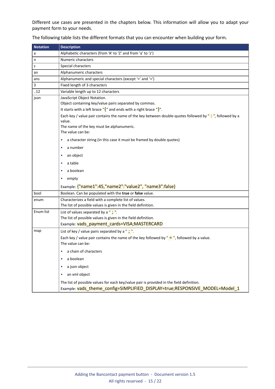Different use cases are presented in the chapters below. This information will allow you to adapt your payment form to your needs.

| <b>Notation</b> | <b>Description</b>                                                                                                                                                      |  |  |  |  |
|-----------------|-------------------------------------------------------------------------------------------------------------------------------------------------------------------------|--|--|--|--|
| a               | Alphabetic characters (from 'A' to 'Z' and from 'a' to 'z')                                                                                                             |  |  |  |  |
| n               | Numeric characters                                                                                                                                                      |  |  |  |  |
| s               | Special characters                                                                                                                                                      |  |  |  |  |
| an              | Alphanumeric characters                                                                                                                                                 |  |  |  |  |
| ans             | Alphanumeric and special characters (except '<' and '>')                                                                                                                |  |  |  |  |
| 3               | Fixed length of 3 characters                                                                                                                                            |  |  |  |  |
| .12             | Variable length up to 12 characters                                                                                                                                     |  |  |  |  |
| json            | JavaScript Object Notation.                                                                                                                                             |  |  |  |  |
|                 | Object containing key/value pairs separated by commas.                                                                                                                  |  |  |  |  |
|                 | It starts with a left brace " $\frac{1}{2}$ " and ends with a right brace " $\frac{1}{2}$ ".                                                                            |  |  |  |  |
|                 | Each key / value pair contains the name of the key between double-quotes followed by ": ", followed by a<br>value.                                                      |  |  |  |  |
|                 | The name of the key must be alphanumeric.<br>The value can be:                                                                                                          |  |  |  |  |
|                 | a character string (in this case it must be framed by double quotes)<br>٠                                                                                               |  |  |  |  |
|                 | a number<br>۰                                                                                                                                                           |  |  |  |  |
|                 | an object<br>٠                                                                                                                                                          |  |  |  |  |
|                 | a table<br>۰                                                                                                                                                            |  |  |  |  |
|                 | a boolean<br>۰                                                                                                                                                          |  |  |  |  |
|                 | empty<br>٠                                                                                                                                                              |  |  |  |  |
|                 | Example: {"name1":45,"name2":"value2", "name3":false}                                                                                                                   |  |  |  |  |
| bool            | Boolean. Can be populated with the true or false value.                                                                                                                 |  |  |  |  |
| enum            | Characterizes a field with a complete list of values.                                                                                                                   |  |  |  |  |
|                 | The list of possible values is given in the field definition.                                                                                                           |  |  |  |  |
| Enum list       | List of values separated by a " $\cdot$ ".                                                                                                                              |  |  |  |  |
|                 | The list of possible values is given in the field definition.                                                                                                           |  |  |  |  |
|                 | Example: vads payment cards=VISA; MASTERCARD                                                                                                                            |  |  |  |  |
| map             | List of key / value pairs separated by a " $\cdot$ ".                                                                                                                   |  |  |  |  |
|                 | Each key / value pair contains the name of the key followed by " $=$ ", followed by a value.<br>The value can be:                                                       |  |  |  |  |
|                 | • a chain of characters                                                                                                                                                 |  |  |  |  |
|                 | a boolean                                                                                                                                                               |  |  |  |  |
|                 | a json object<br>۰                                                                                                                                                      |  |  |  |  |
|                 | an xml object                                                                                                                                                           |  |  |  |  |
|                 | The list of possible values for each key/value pair is provided in the field definition.<br>Example: vads_theme_config=SIMPLIFIED_DISPLAY=true;RESPONSIVE_MODEL=Model_1 |  |  |  |  |

The following table lists the different formats that you can encounter when building your form.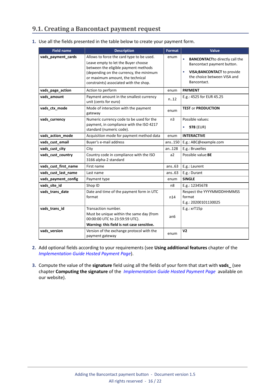### <span id="page-15-0"></span>**9.1. Creating a Bancontact payment request**

| 1. Use all the fields presented in the table below to create your payment form. |  |  |  |
|---------------------------------------------------------------------------------|--|--|--|
|                                                                                 |  |  |  |

| <b>Field name</b>    | <b>Description</b>                                                                                                                                                                                                                                | <b>Format</b>  | Value                                                                                                                                            |
|----------------------|---------------------------------------------------------------------------------------------------------------------------------------------------------------------------------------------------------------------------------------------------|----------------|--------------------------------------------------------------------------------------------------------------------------------------------------|
| vads_payment_cards   | Allows to force the card type to be used.<br>Leave empty to let the Buyer choose<br>between the eligible payment methods<br>(depending on the currency, the minimum<br>or maximum amount, the technical<br>constraints) associated with the shop. | enum           | <b>BANCONTACTto directly call the</b><br>Bancontact payment button.<br>VISA; BANCONTACT to provide<br>the choice between VISA and<br>Bancontact. |
| vads_page_action     | Action to perform                                                                                                                                                                                                                                 | enum           | <b>PAYMENT</b>                                                                                                                                   |
| vads amount          | Payment amount in the smallest currency<br>unit (cents for euro)                                                                                                                                                                                  | n.12           | E.g.: 4525 for EUR 45.25                                                                                                                         |
| vads_ctx_mode        | Mode of interaction with the payment<br>gateway                                                                                                                                                                                                   | enum           | <b>TEST or PRODUCTION</b>                                                                                                                        |
| vads currency        | Numeric currency code to be used for the<br>payment, in compliance with the ISO 4217<br>standard (numeric code).                                                                                                                                  | n <sub>3</sub> | Possible values:<br><b>978 (EUR)</b>                                                                                                             |
| vads_action_mode     | Acquisition mode for payment method data                                                                                                                                                                                                          | enum           | <b>INTERACTIVE</b>                                                                                                                               |
| vads_cust_email      | Buyer's e-mail address                                                                                                                                                                                                                            | ans150         | E.g.: ABC@example.com                                                                                                                            |
| vads cust city       | City                                                                                                                                                                                                                                              | an128          | E.g.: Bruxelles                                                                                                                                  |
| vads_cust_country    | Country code in compliance with the ISO<br>3166 alpha-2 standard                                                                                                                                                                                  | a2             | Possible value: BE                                                                                                                               |
| vads_cust_first_name | First name                                                                                                                                                                                                                                        | ans63          | E.g.: Laurent                                                                                                                                    |
| vads_cust_last_name  | Last name                                                                                                                                                                                                                                         | ans63          | E.g.: Durant                                                                                                                                     |
| vads_payment_config  | Payment type                                                                                                                                                                                                                                      | enum           | <b>SINGLE</b>                                                                                                                                    |
| vads_site_id         | Shop ID                                                                                                                                                                                                                                           | n8             | E.g.: 12345678                                                                                                                                   |
| vads_trans_date      | Date and time of the payment form in UTC<br>format                                                                                                                                                                                                | n14            | Respect the YYYYMMDDHHMMSS<br>format<br>E.g.: 20200101130025                                                                                     |
| vads_trans_id        | Transaction number.<br>Must be unique within the same day (from<br>00:00:00 UTC to 23:59:59 UTC).<br>Warning: this field is not case sensitive.                                                                                                   | an6            | E.g.: xrT15p                                                                                                                                     |
| vads version         | Version of the exchange protocol with the<br>payment gateway                                                                                                                                                                                      | enum           | V <sub>2</sub>                                                                                                                                   |

- **2.** Add optional fields according to your requirements (see **Using additional features** chapter of the *[Implementation](https://docs.lyra.com/en/collect/form-payment/standard-payment/sitemap.html) Guide Hosted Payment Page*).
- **3.** Compute the value of the **signature** field using all the fields of your form that start with **vads\_** (see chapter **Computing the signature** of the *[Implementation](https://docs.lyra.com/en/collect/form-payment/standard-payment/sitemap.html) Guide Hosted Payment Page* available on our website).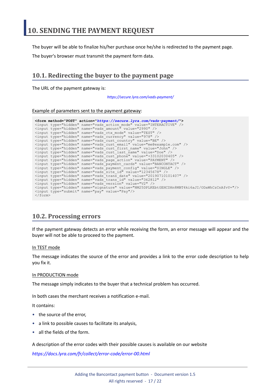<span id="page-16-0"></span>The buyer will be able to finalize his/her purchase once he/she is redirected to the payment page.

The buyer's browser must transmit the payment form data.

### <span id="page-16-1"></span>**10.1. Redirecting the buyer to the payment page**

The URL of the payment gateway is:

*<https://secure.lyra.com/vads-payment/>*

#### Example of parameters sent to the payment gateway:

|                           | <form action="https://secure.lyra.com/vads-payment/" method="POST"></form>                   |
|---------------------------|----------------------------------------------------------------------------------------------|
|                           | <input name="vads action mode" type="hidden" value="INTERACTIVE"/>                           |
|                           | <input name="vads amount" type="hidden" value="2990"/>                                       |
|                           | <input name="vads ctx mode" type="hidden" value="TEST"/>                                     |
|                           | <input name="vads currency" type="hidden" value="978"/>                                      |
|                           | <input name="vads cust country" type="hidden" value="BE"/>                                   |
|                           | <input name="vads cust email" type="hidden" value="me@example.com"/>                         |
|                           | <input name="vads cust first name" type="hidden" value="John"/>                              |
|                           | <input name="vads cust last name" type="hidden" value="Doe"/>                                |
|                           | <input name="vads cust phone" type="hidden" value="+33102030405"/>                           |
|                           | <input name="vads page action" type="hidden" value="PAYMENT"/>                               |
|                           | <input name="vads payment cards" type="hidden" value="BANCONTACT"/>                          |
|                           | <input name="vads payment confiq" type="hidden" value="SINGLE"/>                             |
|                           | <input name="vads site id" type="hidden" value="12345678"/>                                  |
|                           | <input name="vads trans date" type="hidden" value="20190710101407"/>                         |
|                           | <input name="vads trans id" type="hidden" value="362812"/>                                   |
|                           | <input name="vads version" type="hidden" value="V2"/>                                        |
|                           | <input name="signature" type="hidden" value="NM25DPLKEbtGEHCDHn8MBT4ki6aJI/ODaWhCzCnAfvY="/> |
|                           | <input name="pay" type="submit" value="Pay"/>                                                |
| $\langle$ /form $\rangle$ |                                                                                              |

### <span id="page-16-2"></span>**10.2. Processing errors**

If the payment gateway detects an error while receiving the form, an error message will appear and the buyer will not be able to proceed to the payment.

#### In TEST mode

The message indicates the source of the error and provides a link to the error code description to help you fix it.

#### In PRODUCTION mode

The message simply indicates to the buyer that a technical problem has occurred.

In both cases the merchant receives a notification e-mail.

It contains:

- the source of the error,
- a link to possible causes to facilitate its analysis,
- all the fields of the form.

A description of the error codes with their possible causes is available on our website

*<https://docs.lyra.com/fr/collect/error-code/error-00.html>*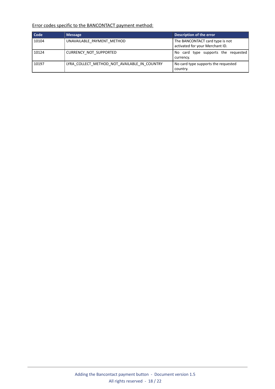### Error codes specific to the BANCONTACT payment method:

| Code  | <b>Message</b>                               | Description of the error                                           |
|-------|----------------------------------------------|--------------------------------------------------------------------|
| 10104 | UNAVAILABLE PAYMENT METHOD                   | The BANCONTACT card type is not<br>activated for your Merchant ID. |
| 10124 | CURRENCY NOT SUPPORTED                       | No card type supports the requested<br>currency.                   |
| 10197 | LYRA COLLECT METHOD NOT AVAILABLE IN COUNTRY | No card type supports the requested<br>country.                    |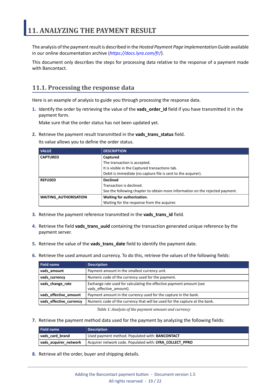<span id="page-18-0"></span>The analysis of the payment result is described in the *Hosted Payment Page Implementation Guide* available in our online documentation archive (*<https://docs.lyra.com/fr/>*).

This document only describes the steps for processing data relative to the response of a payment made with Bancontact.

### <span id="page-18-1"></span>**11.1. Processing the response data**

Here is an example of analysis to guide you through processing the response data.

**1.** Identify the order by retrieving the value of the **vads\_order\_id** field if you have transmitted it in the payment form.

Make sure that the order status has not been updated yet.

**2.** Retrieve the payment result transmitted in the **vads\_trans\_status** field.

Its value allows you to define the order status.

| <b>VALUE</b>                 | <b>DESCRIPTION</b>                                                            |  |
|------------------------------|-------------------------------------------------------------------------------|--|
| <b>CAPTURED</b>              | Captured                                                                      |  |
|                              | The transaction is accepted.                                                  |  |
|                              | It is visible in the Captured transactions tab.                               |  |
|                              | Debit is immediate (no capture file is sent to the acquirer).                 |  |
| <b>REFUSED</b>               | <b>Declined</b>                                                               |  |
|                              | Transaction is declined.                                                      |  |
|                              | See the following chapter to obtain more information on the rejected payment. |  |
| <b>WAITING AUTHORISATION</b> | Waiting for authorization.                                                    |  |
|                              | Waiting for the response from the acquirer.                                   |  |

- **3.** Retrieve the payment reference transmitted in the **vads\_trans\_id** field.
- **4.** Retrieve the field **vads\_trans\_uuid** containing the transaction generated unique reference by the payment server.
- **5.** Retrieve the value of the **vads\_trans\_date** field to identify the payment date.
- **6.** Retrieve the used amount and currency. To do this, retrieve the values of the following fields:

| Field name              | <b>Description</b>                                                                              |  |
|-------------------------|-------------------------------------------------------------------------------------------------|--|
| vads amount             | Payment amount in the smallest currency unit.                                                   |  |
| vads_currency           | Numeric code of the currency used for the payment.                                              |  |
| vads_change_rate        | Exchange rate used for calculating the effective payment amount (see<br>vads effective amount). |  |
| vads_effective_amount   | Payment amount in the currency used for the capture in the bank.                                |  |
| vads_effective_currency | Numeric code of the currency that will be used for the capture at the bank.                     |  |

*Table 1: Analysis of the payment amount and currency*

**7.** Retrieve the payment method data used for the payment by analyzing the following fields:

| <b>Field name</b>     | <b>Description</b>                                       |  |
|-----------------------|----------------------------------------------------------|--|
| vads card brand       | Used payment method. Populated with: <b>BANCONTACT</b>   |  |
| vads acquirer network | Acquirer network code. Populated with: LYRA COLLECT PPRO |  |

**8.** Retrieve all the order, buyer and shipping details.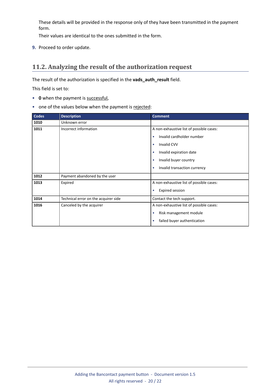These details will be provided in the response only of they have been transmitted in the payment form.

Their values are identical to the ones submitted in the form.

**9.** Proceed to order update.

### <span id="page-19-0"></span>**11.2. Analyzing the result of the authorization request**

The result of the authorization is specified in the **vads\_auth\_result** field.

This field is set to:

- **0** when the payment is successful,
- one of the values below when the payment is rejected:

| <b>Codes</b> | <b>Description</b>                   | <b>Comment</b>                            |
|--------------|--------------------------------------|-------------------------------------------|
| 1010         | Unknown error                        |                                           |
| 1011         | Incorrect information                | A non-exhaustive list of possible cases:  |
|              |                                      | Invalid cardholder number<br>$\bullet$    |
|              |                                      | <b>Invalid CVV</b><br>$\bullet$           |
|              |                                      | Invalid expiration date                   |
|              |                                      | Invalid buyer country                     |
|              |                                      | Invalid transaction currency<br>$\bullet$ |
| 1012         | Payment abandoned by the user        |                                           |
| 1013         | Expired                              | A non-exhaustive list of possible cases:  |
|              |                                      | Expired session<br>$\bullet$              |
| 1014         | Technical error on the acquirer side | Contact the tech support.                 |
| 1016         | Canceled by the acquirer             | A non-exhaustive list of possible cases:  |
|              |                                      | Risk management module<br>$\bullet$       |
|              |                                      | failed buyer authentication               |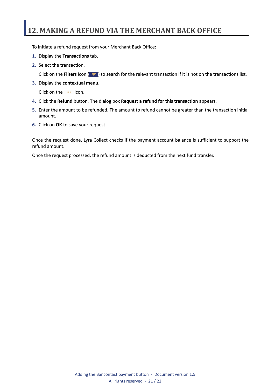## <span id="page-20-0"></span>**12. MAKING A REFUND VIA THE MERCHANT BACK OFFICE**

To initiate a refund request from your Merchant Back Office:

- **1.** Display the **Transactions** tab.
- **2.** Select the transaction.

Click on the **Filters** icon ( $\equiv$ ) to search for the relevant transaction if it is not on the transactions list.

**3.** Display the **contextual menu**.

Click on the **...** icon.

- **4.** Click the **Refund** button. The dialog box **Request a refund for this transaction** appears.
- **5.** Enter the amount to be refunded. The amount to refund cannot be greater than the transaction initial amount.
- **6.** Click on **OK** to save your request.

Once the request done, Lyra Collect checks if the payment account balance is sufficient to support the refund amount.

Once the request processed, the refund amount is deducted from the next fund transfer.